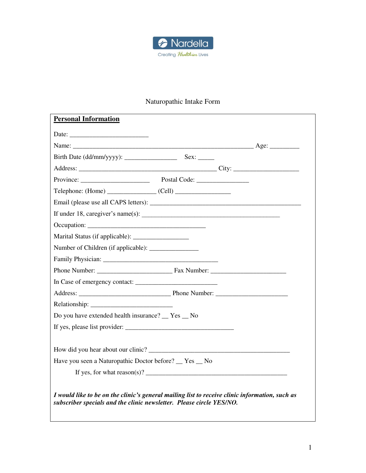

# Naturopathic Intake Form

| <b>Personal Information</b>                                                                                                                                            |
|------------------------------------------------------------------------------------------------------------------------------------------------------------------------|
|                                                                                                                                                                        |
|                                                                                                                                                                        |
|                                                                                                                                                                        |
|                                                                                                                                                                        |
|                                                                                                                                                                        |
| $Telephone: (Home)$ $(Cell)$                                                                                                                                           |
|                                                                                                                                                                        |
| If under 18, caregiver's name(s): $\frac{1}{2}$                                                                                                                        |
|                                                                                                                                                                        |
|                                                                                                                                                                        |
|                                                                                                                                                                        |
|                                                                                                                                                                        |
|                                                                                                                                                                        |
|                                                                                                                                                                        |
|                                                                                                                                                                        |
|                                                                                                                                                                        |
| Do you have extended health insurance? Tes No                                                                                                                          |
| If yes, please list provider:                                                                                                                                          |
|                                                                                                                                                                        |
|                                                                                                                                                                        |
| Have you seen a Naturopathic Doctor before? __ Yes __ No                                                                                                               |
|                                                                                                                                                                        |
|                                                                                                                                                                        |
| I would like to be on the clinic's general mailing list to receive clinic information, such as<br>subscriber specials and the clinic newsletter. Please circle YES/NO. |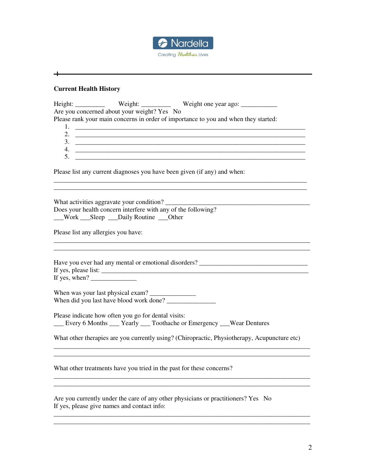

## **Current Health History**

 $+$   $-$ 

| Are you concerned about your weight? Yes No                                                                                                                                                                                                                                                                                                                                                                                                                                                                                                                                                                                                                                                                                                                      |  |
|------------------------------------------------------------------------------------------------------------------------------------------------------------------------------------------------------------------------------------------------------------------------------------------------------------------------------------------------------------------------------------------------------------------------------------------------------------------------------------------------------------------------------------------------------------------------------------------------------------------------------------------------------------------------------------------------------------------------------------------------------------------|--|
| Please rank your main concerns in order of importance to you and when they started:                                                                                                                                                                                                                                                                                                                                                                                                                                                                                                                                                                                                                                                                              |  |
|                                                                                                                                                                                                                                                                                                                                                                                                                                                                                                                                                                                                                                                                                                                                                                  |  |
|                                                                                                                                                                                                                                                                                                                                                                                                                                                                                                                                                                                                                                                                                                                                                                  |  |
| $3.$ $\overline{\phantom{a}}$                                                                                                                                                                                                                                                                                                                                                                                                                                                                                                                                                                                                                                                                                                                                    |  |
|                                                                                                                                                                                                                                                                                                                                                                                                                                                                                                                                                                                                                                                                                                                                                                  |  |
|                                                                                                                                                                                                                                                                                                                                                                                                                                                                                                                                                                                                                                                                                                                                                                  |  |
| Please list any current diagnoses you have been given (if any) and when:                                                                                                                                                                                                                                                                                                                                                                                                                                                                                                                                                                                                                                                                                         |  |
| What activities aggravate your condition?<br>Does your health concern interfere with any of the following?                                                                                                                                                                                                                                                                                                                                                                                                                                                                                                                                                                                                                                                       |  |
| __Work ___Sleep ___Daily Routine ___Other                                                                                                                                                                                                                                                                                                                                                                                                                                                                                                                                                                                                                                                                                                                        |  |
|                                                                                                                                                                                                                                                                                                                                                                                                                                                                                                                                                                                                                                                                                                                                                                  |  |
| Please list any allergies you have:                                                                                                                                                                                                                                                                                                                                                                                                                                                                                                                                                                                                                                                                                                                              |  |
| Have you ever had any mental or emotional disorders? ___________________________<br>If yes, when? $\frac{1}{\sqrt{1-\frac{1}{2}} \cdot \frac{1}{\sqrt{1-\frac{1}{2}} \cdot \frac{1}{\sqrt{1-\frac{1}{2}} \cdot \frac{1}{\sqrt{1-\frac{1}{2}} \cdot \frac{1}{\sqrt{1-\frac{1}{2}} \cdot \frac{1}{\sqrt{1-\frac{1}{2}} \cdot \frac{1}{\sqrt{1-\frac{1}{2}} \cdot \frac{1}{\sqrt{1-\frac{1}{2}} \cdot \frac{1}{\sqrt{1-\frac{1}{2}} \cdot \frac{1}{\sqrt{1-\frac{1}{2}} \cdot \frac{1}{\sqrt{1-\frac{1}{2}} \cdot \frac{1}{\sqrt{$<br>Please indicate how often you go for dental visits:<br>__ Every 6 Months __ Yearly __ Toothache or Emergency __ Wear Dentures<br>What other therapies are you currently using? (Chiropractic, Physiotherapy, Acupuncture etc) |  |
| What other treatments have you tried in the past for these concerns?                                                                                                                                                                                                                                                                                                                                                                                                                                                                                                                                                                                                                                                                                             |  |
| Are you currently under the care of any other physicians or practitioners? Yes No<br>If yes, please give names and contact info:                                                                                                                                                                                                                                                                                                                                                                                                                                                                                                                                                                                                                                 |  |
|                                                                                                                                                                                                                                                                                                                                                                                                                                                                                                                                                                                                                                                                                                                                                                  |  |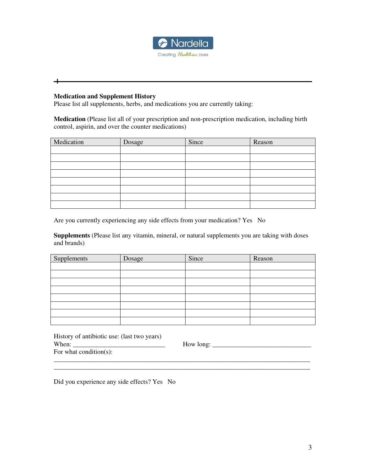

### **Medication and Supplement History**

⊣

Please list all supplements, herbs, and medications you are currently taking:

**Medication** (Please list all of your prescription and non-prescription medication, including birth control, aspirin, and over the counter medications)

| Medication | Dosage | Since | Reason |
|------------|--------|-------|--------|
|            |        |       |        |
|            |        |       |        |
|            |        |       |        |
|            |        |       |        |
|            |        |       |        |
|            |        |       |        |
|            |        |       |        |
|            |        |       |        |

Are you currently experiencing any side effects from your medication? Yes No

**Supplements** (Please list any vitamin, mineral, or natural supplements you are taking with doses and brands)

| Supplements | Dosage | Since | Reason |
|-------------|--------|-------|--------|
|             |        |       |        |
|             |        |       |        |
|             |        |       |        |
|             |        |       |        |
|             |        |       |        |
|             |        |       |        |
|             |        |       |        |
|             |        |       |        |

| History of antibiotic use: (last two years) |           |
|---------------------------------------------|-----------|
| When:                                       | How long: |
| For what condition(s):                      |           |
|                                             |           |

\_\_\_\_\_\_\_\_\_\_\_\_\_\_\_\_\_\_\_\_\_\_\_\_\_\_\_\_\_\_\_\_\_\_\_\_\_\_\_\_\_\_\_\_\_\_\_\_\_\_\_\_\_\_\_\_\_\_\_\_\_\_\_\_\_\_\_\_\_\_\_\_\_\_\_\_\_\_

Did you experience any side effects? Yes No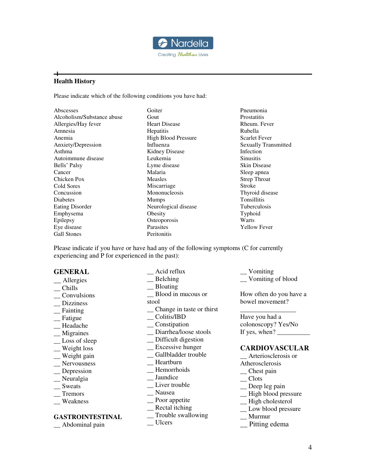

### **Health History**

┿

Please indicate which of the following conditions you have had:

| Abscesses                  | Goiter                     |
|----------------------------|----------------------------|
| Alcoholism/Substance abuse | Gout                       |
| Allergies/Hay fever        | <b>Heart Disease</b>       |
| Amnesia                    | <b>Hepatitis</b>           |
| Anemia                     | <b>High Blood Pressure</b> |
| Anxiety/Depression         | Influenza                  |
| Asthma                     | <b>Kidney Disease</b>      |
| Autoimmune disease         | Leukemia                   |
| Bells' Palsy               | Lyme disease               |
| Cancer                     | Malaria                    |
| Chicken Pox                | Measles                    |
| Cold Sores                 | Miscarriage                |
| Concussion                 | Mononucleosis              |
| Diabetes                   | <b>Mumps</b>               |
| <b>Eating Disorder</b>     | Neurological disease       |
| Emphysema                  | Obesity                    |
| Epilepsy                   | Osteoporosis               |
| Eye disease                | Parasites                  |
| <b>Gall Stones</b>         | Peritonitis                |
|                            |                            |

Pneumonia **Prostatitis** Rheum. Fever Rubella Scarlet Fever Sexually Transmitted Infection **Sinusitis** Skin Disease Sleep apnea Strep Throat Stroke Thyroid disease Tonsillitis Tuberculosis Typhoid Warts Yellow Fever

Please indicate if you have or have had any of the following symptoms (C for currently experiencing and P for experienced in the past):

### **GENERAL**

- \_\_ Allergies \_\_ Chills
- \_\_ Convulsions
- \_\_ Dizziness
- $\equiv$  Fainting
- \_\_ Fatigue
- \_\_ Headache
- \_\_ Migraines
- \_\_ Loss of sleep
- \_\_ Weight loss
- \_\_ Weight gain
- \_\_ Nervousness
- \_\_ Depression
- \_\_ Neuralgia
- \_\_ Sweats
- \_\_ Tremors
- \_\_ Weakness

### **GASTROINTESTINAL**

- \_\_ Abdominal pain
- \_\_ Acid reflux \_\_ Belching \_\_ Bloating \_\_ Blood in mucous or stool \_\_ Change in taste or thirst \_\_ Colitis/IBD \_\_ Constipation \_\_ Diarrhea/loose stools \_\_ Difficult digestion \_\_ Excessive hunger \_\_ Gallbladder trouble \_\_ Heartburn \_\_ Hemorrhoids \_\_ Jaundice \_\_ Liver trouble \_\_ Nausea \_\_ Poor appetite \_\_ Rectal itching \_\_ Trouble swallowing
- \_\_ Ulcers

\_\_ Vomiting \_\_ Vomiting of blood

How often do you have a bowel movement?

\_\_\_\_\_\_\_\_\_\_\_\_\_\_\_\_\_ Have you had a colonoscopy? Yes/No If yes, when?  $\frac{1}{\sqrt{2}}$ 

### **CARDIOVASCULAR**

Arteriosclerosis or

- Atherosclerosis
- \_\_ Chest pain
- \_\_ Clots
- \_\_ Deep leg pain
- \_\_ High blood pressure
- \_\_ High cholesterol
- \_\_ Low blood pressure
- \_\_ Murmur
- \_\_ Pitting edema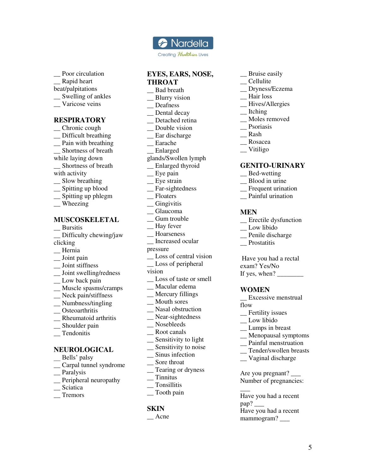

Creating Healthier Lives

Poor circulation Rapid heart beat/palpitations \_\_ Swelling of ankles \_\_ Varicose veins

### **RESPIRATORY**

- \_\_ Chronic cough \_\_ Difficult breathing \_\_ Pain with breathing \_\_ Shortness of breath while laying down \_\_ Shortness of breath with activity \_\_ Slow breathing \_\_ Spitting up blood \_\_ Spitting up phlegm
- \_\_ Wheezing

### **MUSCOSKELETAL**

- \_\_ Bursitis \_\_ Difficulty chewing/jaw clicking \_\_ Hernia \_\_ Joint pain \_\_ Joint stiffness \_\_ Joint swelling/redness
- \_\_ Low back pain
- \_\_ Muscle spasms/cramps
- \_\_ Neck pain/stiffness
- \_\_ Numbness/tingling
- \_\_ Osteoarthritis
- \_\_ Rheumatoid arthritis
- \_\_ Shoulder pain
- \_\_ Tendonitis

### **NEUROLOGICAL**

- \_\_ Bells' palsy
- \_\_ Carpal tunnel syndrome
- \_\_ Paralysis
- \_\_ Peripheral neuropathy
- \_\_ Sciatica
- \_\_ Tremors

## **EYES, EARS, NOSE, THROAT**

- \_\_ Bad breath
- \_\_ Blurry vision
- \_\_ Deafness
- \_\_ Dental decay
- \_\_ Detached retina
- \_\_ Double vision
- \_\_ Ear discharge
- \_\_ Earache
- \_\_ Enlarged
- glands/Swollen lymph
- \_\_ Enlarged thyroid
- \_\_ Eye pain
- \_\_ Eye strain
- \_\_ Far-sightedness
- \_\_ Floaters
- \_\_ Gingivitis
- \_\_ Glaucoma
- Gum trouble
- \_\_ Hay fever
- \_\_ Hoarseness
- \_\_ Increased ocular
- pressure
- \_ Loss of central vision
- \_\_ Loss of peripheral
- vision
- \_\_ Loss of taste or smell
- \_\_ Macular edema
- \_\_ Mercury fillings
- \_\_ Mouth sores
- \_\_ Nasal obstruction
- \_\_ Near-sightedness
- \_\_ Nosebleeds
- \_\_ Root canals
- \_\_ Sensitivity to light
- \_\_ Sensitivity to noise
- \_\_ Sinus infection
- \_\_ Sore throat
- \_\_ Tearing or dryness
- $\overline{\phantom{a}}$  Tinnitus
- \_\_ Tonsillitis
- \_\_ Tooth pain

### **SKIN**

\_\_ Acne

- \_\_ Bruise easily
- \_\_ Cellulite
- \_\_ Dryness/Eczema
- \_\_ Hair loss
- \_\_ Hives/Allergies
- \_\_ Itching
- \_\_ Moles removed
- \_\_ Psoriasis
- \_\_ Rash
- \_\_ Rosacea
- \_\_ Vitiligo

### **GENITO-URINARY**

- \_\_ Bed-wetting
- \_\_ Blood in urine
- \_\_ Frequent urination
- \_\_ Painful urination

### **MEN**

- \_\_ Erectile dysfunction
- \_\_ Low libido
- \_\_ Penile discharge
- \_\_ Prostatitis

 Have you had a rectal exam? Yes/No If yes, when?

### **WOMEN**

- \_\_ Excessive menstrual
- flow

 $\overline{\phantom{a}}$ 

pap?

- \_\_ Fertility issues
- \_\_ Low libido
- \_\_ Lumps in breast
- \_\_ Menopausal symptoms
- \_\_ Painful menstruation
- \_\_ Tender/swollen breasts

5

\_\_ Vaginal discharge

Are you pregnant? \_\_\_ Number of pregnancies:

Have you had a recent

Have you had a recent mammogram?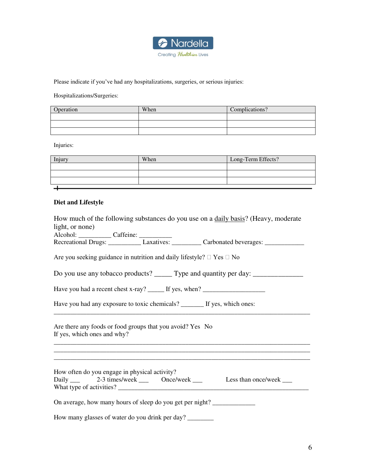

Please indicate if you've had any hospitalizations, surgeries, or serious injuries:

Hospitalizations/Surgeries:

| Operation | When | Complications? |
|-----------|------|----------------|
|           |      |                |
|           |      |                |
|           |      |                |

Injuries:

| Injury | When | Long-Term Effects? |
|--------|------|--------------------|
|        |      |                    |
|        |      |                    |
|        |      |                    |
|        |      |                    |

## **Diet and Lifestyle**

| How much of the following substances do you use on a daily basis? (Heavy, moderate                                                                                                                                             |  |  |
|--------------------------------------------------------------------------------------------------------------------------------------------------------------------------------------------------------------------------------|--|--|
| light, or none)                                                                                                                                                                                                                |  |  |
| Alcohol: Caffeine: Caffeine: Carbonated beverages: Carbonated beverages: Carbonated beverages: Carbonated beverages: Carbonated beverages: Carbonated beverages: Carbonated beverages: Carbonated beverages: Carbonated bevera |  |  |
| Are you seeking guidance in nutrition and daily lifestyle? $\Box$ Yes $\Box$ No                                                                                                                                                |  |  |
| Do you use any tobacco products? ______ Type and quantity per day: _____________                                                                                                                                               |  |  |
| Have you had a recent chest x-ray? ______ If yes, when? _________________________                                                                                                                                              |  |  |
| Have you had any exposure to toxic chemicals? _______ If yes, which ones:                                                                                                                                                      |  |  |
| Are there any foods or food groups that you avoid? Yes No<br>If yes, which ones and why?                                                                                                                                       |  |  |
| How often do you engage in physical activity?<br>Daily _____ 2-3 times/week _____ Once/week ____ Less than once/week ___                                                                                                       |  |  |
| On average, how many hours of sleep do you get per night?                                                                                                                                                                      |  |  |
| How many glasses of water do you drink per day?                                                                                                                                                                                |  |  |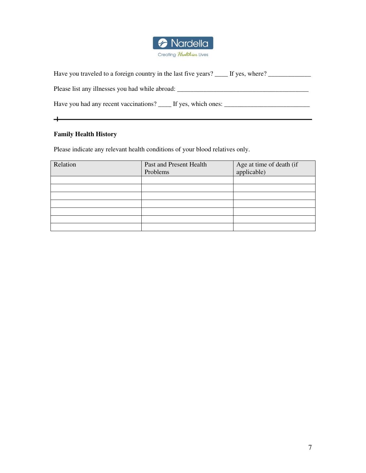

| Have you traveled to a foreign country in the last five years? _____ If yes, where? _______________ |  |  |  |  |
|-----------------------------------------------------------------------------------------------------|--|--|--|--|
| Please list any illnesses you had while abroad:                                                     |  |  |  |  |
| Have you had any recent vaccinations? _____ If yes, which ones: _________________                   |  |  |  |  |
|                                                                                                     |  |  |  |  |

## **Family Health History**

Please indicate any relevant health conditions of your blood relatives only.

| Relation | Past and Present Health<br>Problems | Age at time of death (if<br>applicable) |
|----------|-------------------------------------|-----------------------------------------|
|          |                                     |                                         |
|          |                                     |                                         |
|          |                                     |                                         |
|          |                                     |                                         |
|          |                                     |                                         |
|          |                                     |                                         |
|          |                                     |                                         |